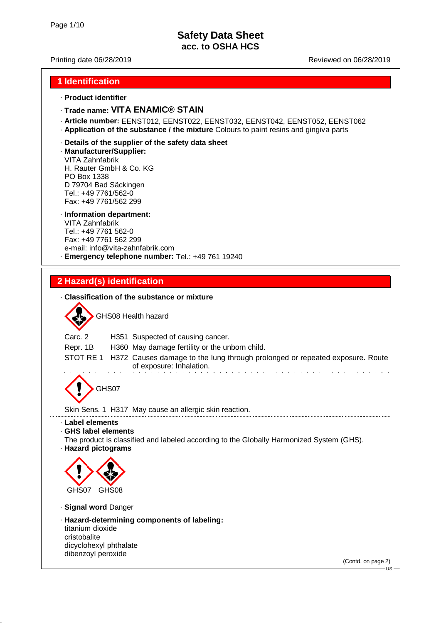### Printing date 06/28/2019 Reviewed on 06/28/2019

### **1 Identification**

#### · **Product identifier**

### · **Trade name: VITA ENAMIC® STAIN**

- · **Article number:** EENST012, EENST022, EENST032, EENST042, EENST052, EENST062
- · **Application of the substance / the mixture** Colours to paint resins and gingiva parts

#### · **Details of the supplier of the safety data sheet**

· **Manufacturer/Supplier:**

VITA Zahnfabrik H. Rauter GmbH & Co. KG PO Box 1338 D 79704 Bad Säckingen Tel.: +49 7761/562-0 Fax: +49 7761/562 299

### · **Information department:**

VITA Zahnfabrik Tel.: +49 7761 562-0 Fax: +49 7761 562 299 e-mail: info@vita-zahnfabrik.com · **Emergency telephone number:** Tel.: +49 761 19240

## **2 Hazard(s) identification**

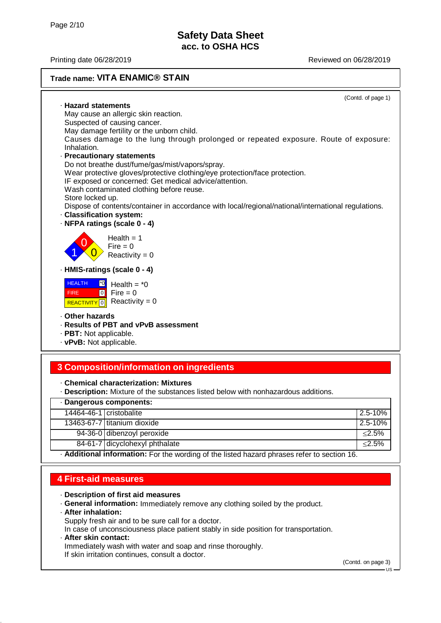Printing date 06/28/2019 Reviewed on 06/28/2019

#### **Trade name: VITA ENAMIC® STAIN** (Contd. of page 1) · **Hazard statements** May cause an allergic skin reaction. Suspected of causing cancer. May damage fertility or the unborn child. Causes damage to the lung through prolonged or repeated exposure. Route of exposure: Inhalation. · **Precautionary statements** Do not breathe dust/fume/gas/mist/vapors/spray. Wear protective gloves/protective clothing/eye protection/face protection. IF exposed or concerned: Get medical advice/attention. Wash contaminated clothing before reuse. Store locked up. Dispose of contents/container in accordance with local/regional/national/international regulations. · **Classification system:** · **NFPA ratings (scale 0 - 4)** 1 0  $\overline{0}$  $Health = 1$  $Fire = 0$ Reactivity  $= 0$ · **HMIS-ratings (scale 0 - 4) HEALTH**  FIRE REACTIVITY 0 Reactivity = 0  $\boxed{\uparrow}$ o Fire = 0 Health  $=$   $*0$ · **Other hazards** · **Results of PBT and vPvB assessment** · **PBT:** Not applicable. · **vPvB:** Not applicable. **3 Composition/information on ingredients**

· **Chemical characterization: Mixtures**

· **Description:** Mixture of the substances listed below with nonhazardous additions.

| · Dangerous components:                                                                     |                                |             |
|---------------------------------------------------------------------------------------------|--------------------------------|-------------|
| 14464-46-1 cristobalite                                                                     |                                | $2.5 - 10%$ |
|                                                                                             | 13463-67-7 titanium dioxide    | $2.5 - 10%$ |
|                                                                                             | 94-36-0 dibenzoyl peroxide     | ≤2.5%       |
|                                                                                             | 84-61-7 dicyclohexyl phthalate | $\leq$ 2.5% |
| - Additional information: For the wording of the listed hazard phrases refer to section 16. |                                |             |

## **4 First-aid measures**

- · **Description of first aid measures**
- · **General information:** Immediately remove any clothing soiled by the product.
- · **After inhalation:**
- Supply fresh air and to be sure call for a doctor.
- In case of unconsciousness place patient stably in side position for transportation.
- · **After skin contact:**
- Immediately wash with water and soap and rinse thoroughly.
- If skin irritation continues, consult a doctor.

(Contd. on page 3)

 $+18$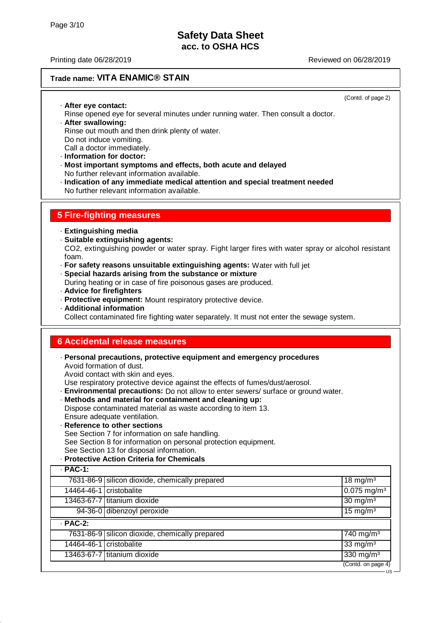## **Trade name: VITA ENAMIC® STAIN**

(Contd. of page 2)

US

· **After eye contact:** Rinse opened eye for several minutes under running water. Then consult a doctor. · **After swallowing:** Rinse out mouth and then drink plenty of water. Do not induce vomiting. Call a doctor immediately.

- · **Information for doctor:**
- · **Most important symptoms and effects, both acute and delayed** No further relevant information available.
- · **Indication of any immediate medical attention and special treatment needed** No further relevant information available.

### **5 Fire-fighting measures**

- · **Extinguishing media**
- · **Suitable extinguishing agents:**

CO2, extinguishing powder or water spray. Fight larger fires with water spray or alcohol resistant foam.

- · **For safety reasons unsuitable extinguishing agents:** Water with full jet
- · **Special hazards arising from the substance or mixture**
- During heating or in case of fire poisonous gases are produced.
- · **Advice for firefighters**
- · **Protective equipment:** Mount respiratory protective device.
- · **Additional information**

Collect contaminated fire fighting water separately. It must not enter the sewage system.

### **6 Accidental release measures**

· **Personal precautions, protective equipment and emergency procedures** Avoid formation of dust.

Avoid contact with skin and eyes.

Use respiratory protective device against the effects of fumes/dust/aerosol.

- · **Environmental precautions:** Do not allow to enter sewers/ surface or ground water.
- · **Methods and material for containment and cleaning up:**

Dispose contaminated material as waste according to item 13.

- Ensure adequate ventilation.
- · **Reference to other sections**

See Section 7 for information on safe handling. See Section 8 for information on personal protection equipment.

- See Section 13 for disposal information.
- · **Protective Action Criteria for Chemicals**

| $·$ PAC-1:              |                                                |                           |
|-------------------------|------------------------------------------------|---------------------------|
|                         | 7631-86-9 silicon dioxide, chemically prepared | $18 \text{ mg/m}^3$       |
| 14464-46-1 cristobalite |                                                | $0.075$ mg/m <sup>3</sup> |
|                         | 13463-67-7 titanium dioxide                    | $30 \text{ mg/m}^3$       |
|                         | 94-36-0 dibenzoyl peroxide                     | $15 \text{ mg/m}^3$       |
| $·$ PAC-2:              |                                                |                           |
|                         | 7631-86-9 silicon dioxide, chemically prepared | $740$ mg/m <sup>3</sup>   |
| 14464-46-1 cristobalite |                                                | $33 \text{ mg/m}^3$       |
|                         | 13463-67-7 titanium dioxide                    | 330 mg/m <sup>3</sup>     |
|                         |                                                | (Contd. on page 4)        |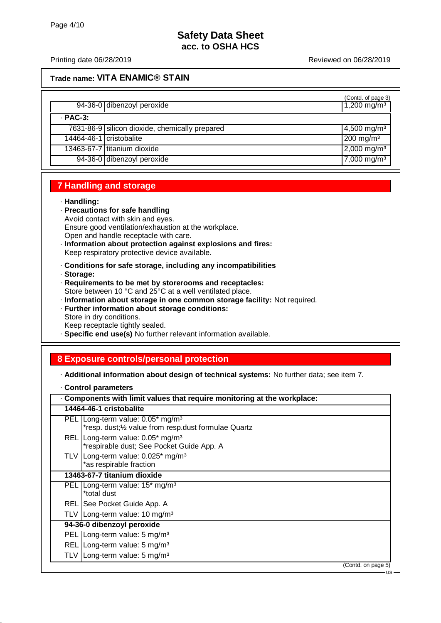### **Trade name: VITA ENAMIC® STAIN**

|                         | 94-36-0 dibenzoyl peroxide                     | (Contd. of page 3)<br>1,200 mg/m <sup>3</sup> |
|-------------------------|------------------------------------------------|-----------------------------------------------|
| $\cdot$ PAC-3:          |                                                |                                               |
|                         | 7631-86-9 silicon dioxide, chemically prepared | $4,500$ mg/m <sup>3</sup>                     |
| 14464-46-1 cristobalite |                                                | $200$ mg/m <sup>3</sup>                       |
|                         | 13463-67-7 titanium dioxide                    | $2,000 \,\mathrm{mg/m^3}$                     |
|                         | 94-36-0 dibenzoyl peroxide                     | $7,000$ mg/m <sup>3</sup>                     |

## **7 Handling and storage**

### · **Handling:**

- · **Precautions for safe handling** Avoid contact with skin and eyes. Ensure good ventilation/exhaustion at the workplace. Open and handle receptacle with care.
- · **Information about protection against explosions and fires:** Keep respiratory protective device available.
- · **Conditions for safe storage, including any incompatibilities**
- · **Storage:**
- · **Requirements to be met by storerooms and receptacles:** Store between 10 °C and 25°C at a well ventilated place.
- · **Information about storage in one common storage facility:** Not required.
- · **Further information about storage conditions:**
- Store in dry conditions. Keep receptacle tightly sealed.
- · **Specific end use(s)** No further relevant information available.

# **8 Exposure controls/personal protection**

- · **Additional information about design of technical systems:** No further data; see item 7.
- · **Control parameters**

| Components with limit values that require monitoring at the workplace:                                 |  |  |
|--------------------------------------------------------------------------------------------------------|--|--|
| 14464-46-1 cristobalite                                                                                |  |  |
| PEL   Long-term value: 0.05* mg/m <sup>3</sup><br>*resp. dust;1/2 value from resp.dust formulae Quartz |  |  |
| REL Long-term value: 0.05* mg/m <sup>3</sup><br>*respirable dust; See Pocket Guide App. A              |  |  |
| TLV   Long-term value: $0.025$ * mg/m <sup>3</sup><br>*as respirable fraction                          |  |  |
| 13463-67-7 titanium dioxide                                                                            |  |  |
| PEL   Long-term value: 15 <sup>*</sup> mg/m <sup>3</sup><br>*total dust                                |  |  |
| REL   See Pocket Guide App. A                                                                          |  |  |
| TLV   Long-term value: 10 mg/m <sup>3</sup>                                                            |  |  |
| 94-36-0 dibenzoyl peroxide                                                                             |  |  |
| PEL   Long-term value: 5 mg/m <sup>3</sup>                                                             |  |  |
| REL Long-term value: 5 mg/m <sup>3</sup>                                                               |  |  |
| TLV   Long-term value: $5 \text{ mg/m}^3$                                                              |  |  |
| (Contd. on page 5)<br>US                                                                               |  |  |
|                                                                                                        |  |  |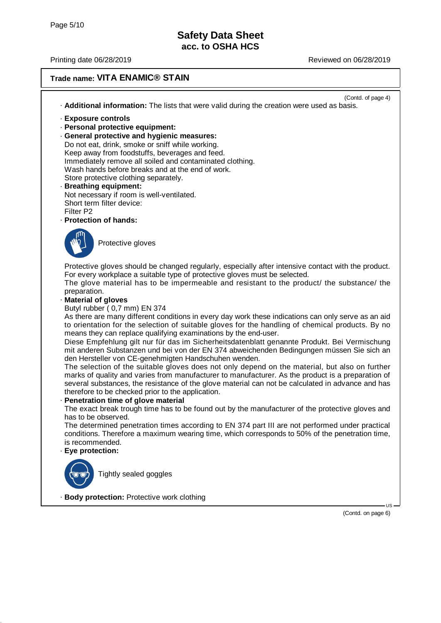### **Trade name: VITA ENAMIC® STAIN**

(Contd. of page 4) · **Additional information:** The lists that were valid during the creation were used as basis.

- · **Exposure controls**
- · **Personal protective equipment:**
- · **General protective and hygienic measures:** Do not eat, drink, smoke or sniff while working. Keep away from foodstuffs, beverages and feed. Immediately remove all soiled and contaminated clothing. Wash hands before breaks and at the end of work. Store protective clothing separately.
- · **Breathing equipment:** Not necessary if room is well-ventilated. Short term filter device: Filter P2
- · **Protection of hands:**



Protective gloves

Protective gloves should be changed regularly, especially after intensive contact with the product. For every workplace a suitable type of protective gloves must be selected.

The glove material has to be impermeable and resistant to the product/ the substance/ the preparation.

· **Material of gloves**

Butyl rubber ( 0,7 mm) EN 374

As there are many different conditions in every day work these indications can only serve as an aid to orientation for the selection of suitable gloves for the handling of chemical products. By no means they can replace qualifying examinations by the end-user.

Diese Empfehlung gilt nur für das im Sicherheitsdatenblatt genannte Produkt. Bei Vermischung mit anderen Substanzen und bei von der EN 374 abweichenden Bedingungen müssen Sie sich an den Hersteller von CE-genehmigten Handschuhen wenden.

The selection of the suitable gloves does not only depend on the material, but also on further marks of quality and varies from manufacturer to manufacturer. As the product is a preparation of several substances, the resistance of the glove material can not be calculated in advance and has therefore to be checked prior to the application.

#### **Penetration time of glove material**

The exact break trough time has to be found out by the manufacturer of the protective gloves and has to be observed.

The determined penetration times according to EN 374 part III are not performed under practical conditions. Therefore a maximum wearing time, which corresponds to 50% of the penetration time, is recommended.

### · **Eye protection:**



Tightly sealed goggles

· **Body protection:** Protective work clothing

(Contd. on page 6)

US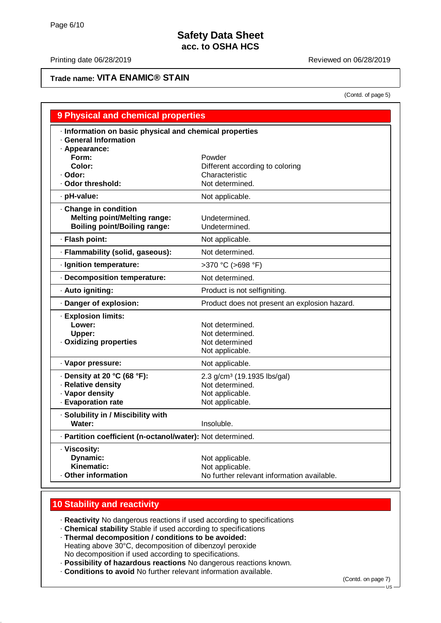### Printing date 06/28/2019 **Printing date 06/28/2019**

## **Trade name: VITA ENAMIC® STAIN**

(Contd. of page 5)

| <b>9 Physical and chemical properties</b>                  |                                               |
|------------------------------------------------------------|-----------------------------------------------|
| Information on basic physical and chemical properties      |                                               |
| · General Information                                      |                                               |
| - Appearance:                                              |                                               |
| Form:                                                      | Powder                                        |
| Color:                                                     | Different according to coloring               |
| · Odor:                                                    | Characteristic                                |
| · Odor threshold:                                          | Not determined.                               |
| · pH-value:                                                | Not applicable.                               |
| Change in condition                                        |                                               |
| <b>Melting point/Melting range:</b>                        | Undetermined.                                 |
| <b>Boiling point/Boiling range:</b>                        | Undetermined.                                 |
| · Flash point:                                             | Not applicable.                               |
| · Flammability (solid, gaseous):                           | Not determined.                               |
| · Ignition temperature:                                    | >370 °C (>698 °F)                             |
| Decomposition temperature:                                 | Not determined.                               |
| · Auto igniting:                                           | Product is not selfigniting.                  |
| · Danger of explosion:                                     | Product does not present an explosion hazard. |
| · Explosion limits:                                        |                                               |
| Lower:                                                     | Not determined.                               |
| Upper:                                                     | Not determined.                               |
| · Oxidizing properties                                     | Not determined                                |
|                                                            | Not applicable.                               |
| · Vapor pressure:                                          | Not applicable.                               |
| $\cdot$ Density at 20 °C (68 °F):                          | 2.3 g/cm <sup>3</sup> (19.1935 lbs/gal)       |
| · Relative density                                         | Not determined.                               |
| · Vapor density                                            | Not applicable.                               |
| · Evaporation rate                                         | Not applicable.                               |
| · Solubility in / Miscibility with                         |                                               |
| Water:                                                     | Insoluble.                                    |
| · Partition coefficient (n-octanol/water): Not determined. |                                               |
| · Viscosity:                                               |                                               |
| Dynamic:                                                   | Not applicable.                               |
| Kinematic:                                                 | Not applicable.                               |
| ⋅ Other information                                        | No further relevant information available.    |

## **10 Stability and reactivity**

· **Reactivity** No dangerous reactions if used according to specifications

· **Chemical stability** Stable if used according to specifications · **Thermal decomposition / conditions to be avoided:**

- Heating above 30°C, decomposition of dibenzoyl peroxide No decomposition if used according to specifications.
- · **Possibility of hazardous reactions** No dangerous reactions known.
- · **Conditions to avoid** No further relevant information available.

(Contd. on page 7)

US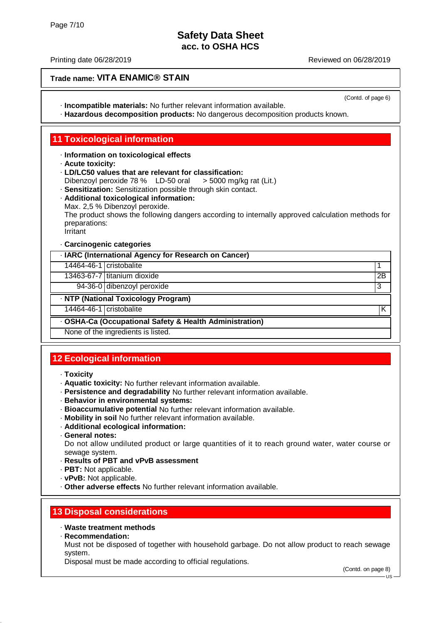### Printing date 06/28/2019 Reviewed on 06/28/2019

## **Trade name: VITA ENAMIC® STAIN**

(Contd. of page 6)

- · **Incompatible materials:** No further relevant information available.
- · **Hazardous decomposition products:** No dangerous decomposition products known.

## **11 Toxicological information**

### · **Information on toxicological effects**

- · **Acute toxicity:**
- · **LD/LC50 values that are relevant for classification:**
- Dibenzoyl peroxide 78 % LD-50 oral > 5000 mg/kg rat (Lit.)
- · **Sensitization:** Sensitization possible through skin contact.
- · **Additional toxicological information:** Max. 2,5 % Dibenzoyl peroxide. The product shows the following dangers according to internally approved calculation methods for preparations: **Irritant** · **Carcinogenic categories**

|                                                         | 9.109                               |    |
|---------------------------------------------------------|-------------------------------------|----|
| · IARC (International Agency for Research on Cancer)    |                                     |    |
| 14464-46-1 cristobalite                                 |                                     |    |
|                                                         | 13463-67-7 titanium dioxide         | 2B |
|                                                         | 94-36-0 dibenzoyl peroxide          | 3  |
|                                                         | · NTP (National Toxicology Program) |    |
| 14464-46-1 cristobalite                                 |                                     | Κ  |
| - OSHA-Ca (Occupational Safety & Health Administration) |                                     |    |

None of the ingredients is listed.

# **12 Ecological information**

- · **Toxicity**
- · **Aquatic toxicity:** No further relevant information available.
- · **Persistence and degradability** No further relevant information available.
- · **Behavior in environmental systems:**
- · **Bioaccumulative potential** No further relevant information available.
- · **Mobility in soil** No further relevant information available.
- · **Additional ecological information:**
- · **General notes:**

Do not allow undiluted product or large quantities of it to reach ground water, water course or sewage system.

- · **Results of PBT and vPvB assessment**
- · **PBT:** Not applicable.
- · **vPvB:** Not applicable.
- · **Other adverse effects** No further relevant information available.

## **13 Disposal considerations**

### · **Waste treatment methods**

· **Recommendation:**

Must not be disposed of together with household garbage. Do not allow product to reach sewage system.

Disposal must be made according to official regulations.

 $H<sub>2</sub>$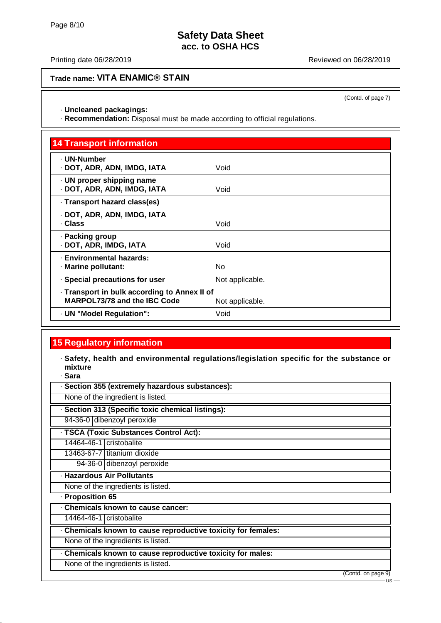## **Trade name: VITA ENAMIC® STAIN**

(Contd. of page 7)

· **Uncleaned packagings:**

· **Recommendation:** Disposal must be made according to official regulations.

| <b>14 Transport information</b>                                                     |                 |
|-------------------------------------------------------------------------------------|-----------------|
| · UN-Number<br>· DOT, ADR, ADN, IMDG, IATA                                          | Void            |
| · UN proper shipping name<br>· DOT, ADR, ADN, IMDG, IATA                            | Void            |
| · Transport hazard class(es)                                                        |                 |
| · DOT, ADR, ADN, IMDG, IATA<br>· Class                                              | Void            |
| · Packing group<br>· DOT, ADR, IMDG, IATA                                           | Void            |
| · Environmental hazards:<br>· Marine pollutant:                                     | N <sub>o</sub>  |
| · Special precautions for user                                                      | Not applicable. |
| · Transport in bulk according to Annex II of<br><b>MARPOL73/78 and the IBC Code</b> | Not applicable. |
| - UN "Model Regulation":                                                            | Void            |

# **15 Regulatory information**

- · **Safety, health and environmental regulations/legislation specific for the substance or mixture**
- · **Sara**

| · Section 355 (extremely hazardous substances):               |  |  |
|---------------------------------------------------------------|--|--|
| None of the ingredient is listed.                             |  |  |
| · Section 313 (Specific toxic chemical listings):             |  |  |
| 94-36-0 dibenzoyl peroxide                                    |  |  |
| · TSCA (Toxic Substances Control Act):                        |  |  |
| 14464-46-1 cristobalite                                       |  |  |
| 13463-67-7 titanium dioxide                                   |  |  |
| 94-36-0 dibenzoyl peroxide                                    |  |  |
| · Hazardous Air Pollutants                                    |  |  |
| None of the ingredients is listed.                            |  |  |
| - Proposition 65                                              |  |  |
| Chemicals known to cause cancer:                              |  |  |
| 14464-46-1 cristobalite                                       |  |  |
| . Chemicals known to cause reproductive toxicity for females: |  |  |
| None of the ingredients is listed.                            |  |  |
| Chemicals known to cause reproductive toxicity for males:     |  |  |
| None of the ingredients is listed.                            |  |  |
| (Contd. on page 9)<br>$-11S$                                  |  |  |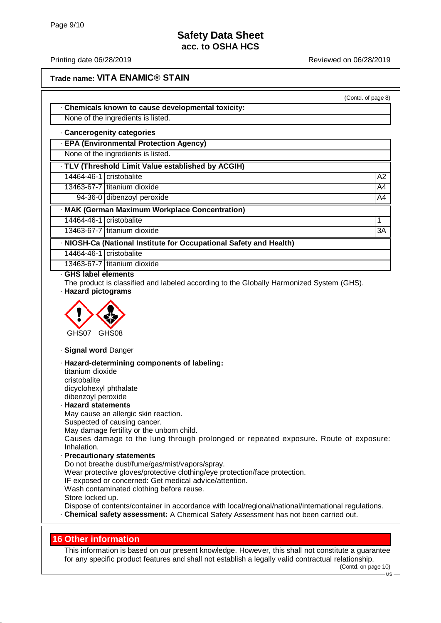#### Printing date 06/28/2019 Reviewed on 06/28/2019

(Contd. of page 8)

### **Trade name: VITA ENAMIC® STAIN**

· **Chemicals known to cause developmental toxicity:**

None of the ingredients is listed.

#### · **Cancerogenity categories**

· **EPA (Environmental Protection Agency)**

None of the ingredients is listed.

· **TLV (Threshold Limit Value established by ACGIH)** 14464-46-1 cristobalite A2 13463-67-7 titanium dioxide A4

94-36-0 dibenzoyl peroxide A4

· **MAK (German Maximum Workplace Concentration)**

14464-46-1 cristobalite 1

13463-67-7 titanium dioxide 3A

· **NIOSH-Ca (National Institute for Occupational Safety and Health)**

14464-46-1 cristobalite

13463-67-7 titanium dioxide

· **GHS label elements**

The product is classified and labeled according to the Globally Harmonized System (GHS).

· **Hazard pictograms**



· **Signal word** Danger

· **Hazard-determining components of labeling:**

titanium dioxide cristobalite dicyclohexyl phthalate

dibenzoyl peroxide · **Hazard statements** May cause an allergic skin reaction.

Suspected of causing cancer.

May damage fertility or the unborn child.

Causes damage to the lung through prolonged or repeated exposure. Route of exposure: Inhalation.

· **Precautionary statements** Do not breathe dust/fume/gas/mist/vapors/spray. Wear protective gloves/protective clothing/eye protection/face protection. IF exposed or concerned: Get medical advice/attention. Wash contaminated clothing before reuse. Store locked up.

Dispose of contents/container in accordance with local/regional/national/international regulations. · **Chemical safety assessment:** A Chemical Safety Assessment has not been carried out.

### **16 Other information**

This information is based on our present knowledge. However, this shall not constitute a guarantee for any specific product features and shall not establish a legally valid contractual relationship.

(Contd. on page 10)

 $\overline{18}$